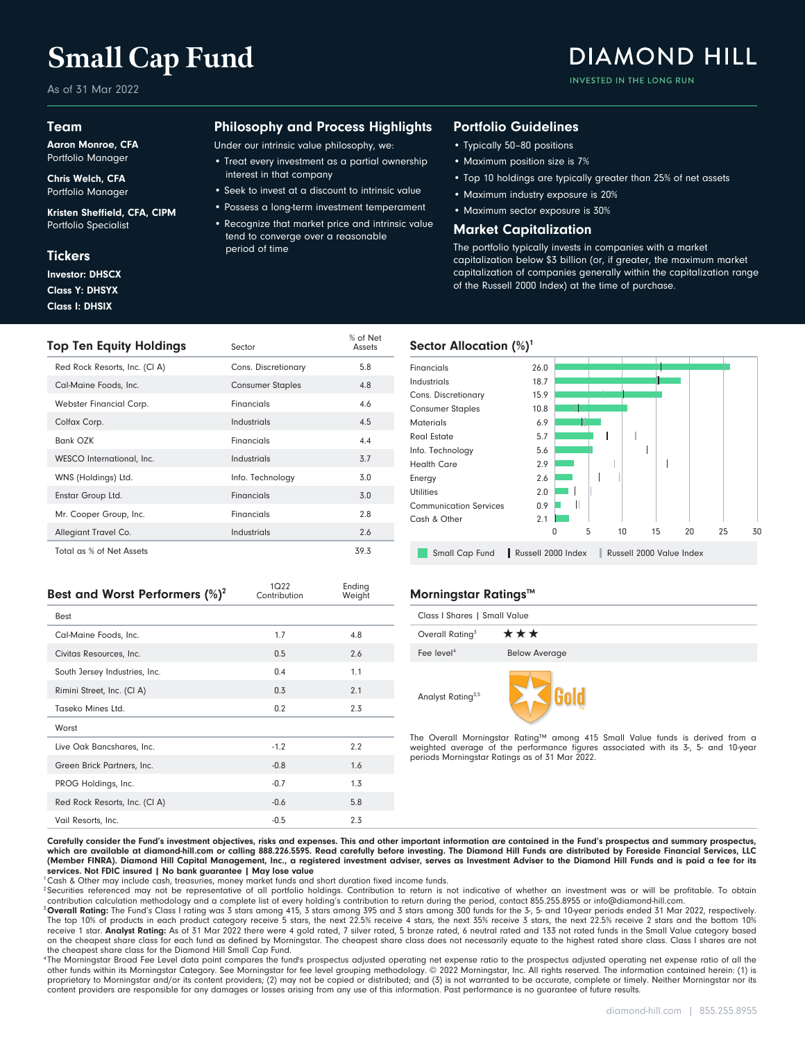# **Small Cap Fund**

As of 31 Mar 2022

#### Team

Aaron Monroe, CFA Portfolio Manager

Chris Welch, CFA Portfolio Manager

Kristen Sheffield, CFA, CIPM Portfolio Specialist

#### **Tickers**

Class I: DHSIX Class Y: DHSYX Investor: DHSCX

### Philosophy and Process Highlights

Under our intrinsic value philosophy, we:

- Treat every investment as a partial ownership interest in that company
- Seek to invest at a discount to intrinsic value
- Possess a long-term investment temperament
- Recognize that market price and intrinsic value tend to converge over a reasonable period of time

#### Portfolio Guidelines

- Typically 50–80 positions
- Maximum position size is 7%
- Top 10 holdings are typically greater than 25% of net assets

**DIAMOND HILL** 

INVESTED IN THE LONG RUN

- Maximum industry exposure is 20%
- Maximum sector exposure is 30%

#### Market Capitalization

The portfolio typically invests in companies with a market capitalization below \$3 billion (or, if greater, the maximum market capitalization of companies generally within the capitalization range of the Russell 2000 Index) at the time of purchase.

| Top Ten Equity Holdings       | Sector                  | % of Net<br>Assets |
|-------------------------------|-------------------------|--------------------|
| Red Rock Resorts, Inc. (CI A) | Cons. Discretionary     | 5.8                |
| Cal-Maine Foods, Inc.         | <b>Consumer Staples</b> | 4.8                |
| Webster Financial Corp.       | Financials              | 4.6                |
| Colfax Corp.                  | Industrials             | 4.5                |
| Bank OZK                      | Financials              | 4.4                |
| WESCO International, Inc.     | Industrials             | 3.7                |
| WNS (Holdings) Ltd.           | Info. Technology        | 3.0                |
| Enstar Group Ltd.             | Financials              | 3.0                |
| Mr. Cooper Group, Inc.        | Financials              | 2.8                |
| Allegiant Travel Co.          | Industrials             | 2.6                |
| Total as % of Net Assets      |                         | 39.3               |

#### Financials 26.0 18.7 Industrials Cons. Discretionary 15.9 Consumer Staples 10.8 Materials 6.9 Real Estate 5.7 Info. Technology 5.6 Health Care 2.9  $\overline{\phantom{a}}$ Energy 2.6  $\overline{\phantom{a}}$ Utilities 2.0 Communication Services 0.9  $\mathbb{I}$ Cash & Other 2.1 0 5 10 15 20 25 30 Small Cap Fund | Russell 2000 Index | Russell 2000 Value Index

| Best and Worst Performers $(\%)^2$ | 1Q22<br>Contribution | Ending<br>Weight |
|------------------------------------|----------------------|------------------|
| Best                               |                      |                  |
| Cal-Maine Foods, Inc.              | 1.7                  | 4.8              |
| Civitas Resources, Inc.            | 0.5                  | 2.6              |
| South Jersey Industries, Inc.      | 0.4                  | 1.1              |
| Rimini Street, Inc. (CI A)         | 0.3                  | 2.1              |
| Taseko Mines Ltd.                  | 0.2                  | 2.3              |
| Worst                              |                      |                  |
| Live Oak Bancshares, Inc.          | $-1.2$               | 2.2              |
| Green Brick Partners, Inc.         | $-0.8$               | 1.6              |
| PROG Holdings, Inc.                | $-0.7$               | 1.3              |
| Red Rock Resorts, Inc. (CI A)      | $-0.6$               | 5.8              |
| Vail Resorts, Inc.                 | $-0.5$               | 2.3              |

#### **Morningstar Ratings™**

Sector Allocation  $(\%)^1$ 

| Class I Shares   Small Value  |                      |  |  |  |  |  |
|-------------------------------|----------------------|--|--|--|--|--|
| Overall Rating <sup>3</sup>   | ***                  |  |  |  |  |  |
| Fee level <sup>4</sup>        | <b>Below Average</b> |  |  |  |  |  |
| Analyst Rating <sup>3,5</sup> |                      |  |  |  |  |  |

The Overall Morningstar Rating™ among 415 Small Value funds is derived from a weighted average of the performance figures associated with its 3-, 5- and 10-year periods Morningstar Ratings as of 31 Mar 2022.

Carefully consider the Fund's investment objectives, risks and expenses. This and other important information are contained in the Fund's prospectus and summary prospectus, which are available at diamond-hill.com or calling 888.226.5595. Read carefully before investing. The Diamond Hill Funds are distributed by Foreside Financial Services, LLC (Member FINRA). Diamond Hill Capital Management, Inc., a registered investment adviser, serves as Investment Adviser to the Diamond Hill Funds and is paid a fee for its services. Not FDIC insured | No bank guarantee | May lose value

<sup>1</sup>Cash & Other may include cash, treasuries, money market funds and short duration fixed income funds.

<sup>2</sup> Securities referenced may not be representative of all portfolio holdings. Contribution to return is not indicative of whether an investment was or will be profitable. To obtain contribution calculation methodology and a complete list of every holding's contribution to return during the period, contact 855.255.8955 or info@diamond-hill.com.

<sup>3</sup> Overall Rating: The Fund's Class I rating was 3 stars among 415, 3 stars among 395 and 3 stars among 300 funds for the 3-, 5- and 10-year periods ended 31 Mar 2022, respectively.<br>The top 10% of products in each product on the cheapest share class for each fund as defined by Morningstar. The cheapest share class does not necessarily equate to the highest rated share class. Class I shares are not the cheapest share class for the Diamond Hill Small Cap Fund.

<sup>4</sup>The Morningstar Broad Fee Level data point compares the fund's prospectus adjusted operating net expense ratio of and the or operating net expense ratio of all the other funds within its Morningstar Category. See Morningstar for fee level grouping methodology. © 2022 Morningstar, Inc. All rights reserved. The information contained herein: (1) is proprietary to Morningstar and/or its content providers; (2) may not be copied or distributed; and (3) is not warranted to be accurate, complete or timely. Neither Morningstar nor its content providers are responsible for any damages or losses arising from any use of this information. Past performance is no guarantee of future results.